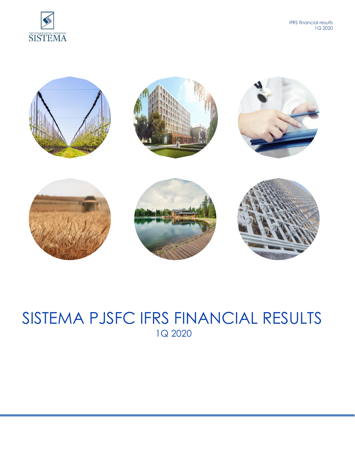

 IFRS financial results 1Q 2020



# SISTEMA PJSFC IFRS FINANCIAL RESULTS 1Q 2020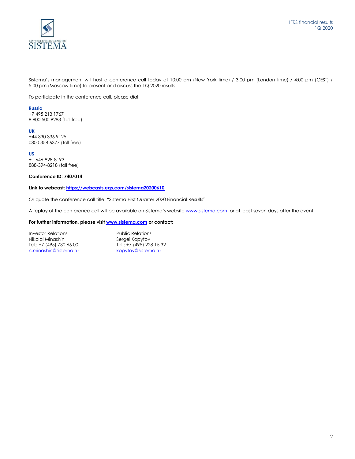

Sistema's management will host a conference call today at 10:00 am (New York time) / 3:00 pm (London time) / 4:00 pm (CEST) / 5:00 pm (Moscow time) to present and discuss the 1Q 2020 results.

To participate in the conference call, please dial:

#### **Russia**

+7 495 213 1767 8 800 500 9283 (toll free)

## **UK**

+44 330 336 9125 0800 358 6377 (toll free)

#### **US**

+1 646-828-8193 888-394-8218 (toll free)

## **Conference ID: 7407014**

## **Link to webcast[: https://webcasts.eqs.com/sistema20200610](https://webcasts.eqs.com/sistema20200610)**

Or quote the conference call title: "Sistema First Quarter 2020 Financial Results".

A replay of the conference call will be available on Sistema's website [www.sistema.com](http://www.sistema.com/) for at least seven days after the event.

## **For further information, please visit [www.sistema.com](http://www.sistema.com/) or contact:**

| Investor Relations       | <b>Public Relations</b>  |
|--------------------------|--------------------------|
| Nikolai Minashin         | Sergei Kopytov           |
| Tel.: +7 (495) 730 66 00 | Tel.: +7 (495) 228 15 32 |
| n.minashin@sistema.ru    | kopytov@sistema.ru       |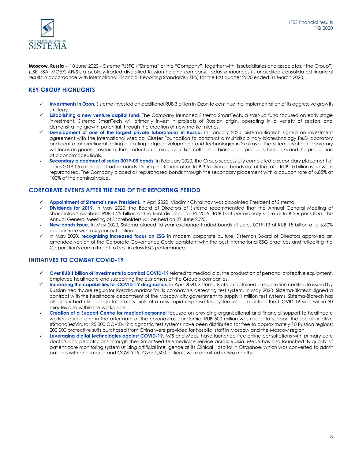

**Moscow, Russia** – 10 June 2020 – Sistema PJSFC ("Sistema" or the "Company", together with its subsidiaries and associates, "the Group") (LSE: SSA, MOEX: AFKS), a publicly-traded diversified Russian holding company, today announces its unaudited consolidated financial results in accordance with International Financial Reporting Standards (IFRS) for the first quarter 2020 ended 31 March 2020.

# **KEY GROUP HIGHLIGHTS**

- Investments in Ozon. Sistema invested an additional RUB 3 billion in Ozon to continue the implementation of its aggressive growth strategy.
- ✓ **Establishing a new venture capital fund.** The Company launched Sistema SmartTech, a start-up fund focused on early stage investment. Sistema SmartTech will primarily invest in projects of Russian origin, operating in a variety of sectors and demonstrating growth potential through the creation of new market niches.
- **Development of one of the largest private laboratories in Russia.** In January 2020, Sistema-Biotech signed an investment agreement with the International Medical Cluster Foundation to construct a multidisciplinary biotechnology R&D laboratory and centre for preclinical testing of cutting-edge developments and technologies in Skolkovo. The Sistema-Biotech laboratory will focus on genetic research, the production of diagnostic kits, cell-based biomedical products, biobanks and the production of biopharmaceuticals.
- Secondary placement of series 001P-05 bonds. In February 2020, the Group successfully completed a secondary placement of series 001P-05 exchange-traded bonds. During the tender offer, RUB 3.5 billion of bonds out of the total RUB 10 billion issue were repurchased. The Company placed all repurchased bonds through the secondary placement with a coupon rate of 6.85% at 100% of the nominal value.

# **CORPORATE EVENTS AFTER THE END OF THE REPORTING PERIOD**

- ✓ **Appointment of Sistema's new President.** In April 2020, Vladimir Chirakhov was appointed President of Sistema.
- Dividends for 2019. In May 2020, the Board of Directors of Sistema recommended that the Annual General Meeting of Shareholders distribute RUB 1.25 billion as the final dividend for FY 2019 (RUB 0.13 per ordinary share or RUB 2.6 per GDR). The Annual General Meeting of Shareholders will be held on 27 June 2020.
- ✓ **New bonds issue.** In May 2020, Sistema placed 10-year exchange-traded bonds of series 001Р-13 of RUB 15 billion at a 6.60% coupon rate with a 4-year put option.
- In May 2020, *recognising increased focus on ESG* in modern corporate culture, Sistema's Board of Directors approved an amended version of the Corporate Governance Code consistent with the best international ESG practices and reflecting the Corporation's commitment to best in class ESG performance.

# **INITIATIVES TO COMBAT COVID-19**

- ✓ **Over RUB 1 billion of investments to combat COVID-19** related to medical aid, the production of personal protective equipment, employee healthcare and supporting the customers of the Group's companies.
- ✓ **Increasing the capabilities for COVID-19 diagnostics**. In April 2020, Sistema-Biotech obtained a registration certificate issued by Russian healthcare regulator Roszdravnadzor for its coronavirus detecting test system. In May 2020, Sistema-Biotech signed a contract with the healthcare department of the Moscow city government to supply 1 million test systems. Sistema-Biotech has also launched clinical and laboratory trials of a new rapid response test system able to detect the COVID-19 virus within 30 minutes and within the workplace.
- ✓ **Creation of a Support Centre for medical personnel** focused on providing organisational and financial support to healthcare workers during and in the aftermath of the coronavirus pandemic. RUB 500 million was raised to support the social initiative #StranaBezVirusa; 25,000 COVID-19 diagnostic test systems have been distributed for free to approximately 10 Russian regions; 200,000 protective suits purchased from China were provided for hospital staff in Moscow and the Moscow region.
- ✓ **Leveraging digital technologies against COVID-19.** MTS and Medsi have launched free online consultations with primary care doctors and pediatricians through their SmartMed telemedicine service across Russia. Medsi has also launched its quality of patient care monitoring system utilising artificial intelligence at its Clinical Hospital in Otradnoe, which was converted to admit patients with pneumonia and COVID-19. Over 1,500 patients were admitted in two months.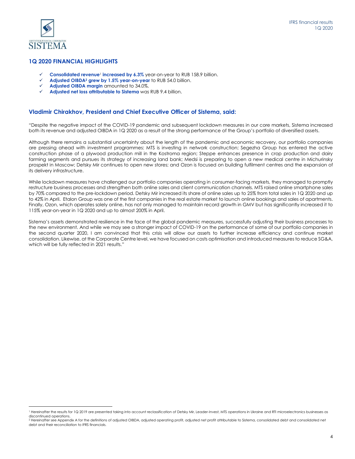

 $\overline{\phantom{a}}$ 

## **1Q 2020 FINANCIAL HIGHLIGHTS**

- **Consolidated revenue<sup>1</sup> increased by 6.3%** year-on-year to RUB 158.9 billion.
- ✓ **Adjusted OIBDA<sup>2</sup> grew by 1.5% year-on-year** to RUB 54.0 billion.
- Adjusted OIBDA margin amounted to 34.0%.
- ✓ **Adjusted net loss attributable to Sistema** was RUB 9.4 billion.

## **Vladimir Chirakhov, President and Chief Executive Officer of Sistema, said:**

"Despite the negative impact of the COVID-19 pandemic and subsequent lockdown measures in our core markets, Sistema increased both its revenue and adjusted OIBDA in 1Q 2020 as a result of the strong performance of the Group's portfolio of diversified assets.

Although there remains a substantial uncertainty about the length of the pandemic and economic recovery, our portfolio companies are pressing ahead with investment programmes: MTS is investing in network construction; Segezha Group has entered the active construction phase of a plywood production mill in the Kostroma region; Steppe enhances presence in crop production and dairy farming segments and pursues its strategy of increasing land bank; Medsi is preparing to open a new medical centre in Michurinsky prospekt in Moscow; Detsky Mir continues to open new stores; and Ozon is focused on building fulfilment centres and the expansion of its delivery infrastructure.

While lockdown measures have challenged our portfolio companies operating in consumer-facing markets, they managed to promptly restructure business processes and strengthen both online sales and client communication channels. MTS raised online smartphone sales by 70% compared to the pre-lockdown period. Detsky Mir increased its share of online sales up to 25% from total sales in 1Q 2020 and up to 42% in April. Etalon Group was one of the first companies in the real estate market to launch online bookings and sales of apartments. Finally, Ozon, which operates solely online, has not only managed to maintain record growth in GMV but has significantly increased it to 115% year-on-year in 1Q 2020 and up to almost 200% in April.

Sistema's assets demonstrated resilience in the face of the global pandemic measures, successfully adjusting their business processes to the new environment. And while we may see a stronger impact of COVID-19 on the performance of some of our portfolio companies in the second quarter 2020, I am convinced that this crisis will allow our assets to further increase efficiency and continue market consolidation. Likewise, at the Corporate Centre level, we have focused on costs optimisation and introduced measures to reduce SG&A, which will be fully reflected in 2021 results."

<sup>&</sup>lt;sup>1</sup> Hereinafter the results for 1Q 2019 are presented taking into account reclassification of Detsky Mir, Leader-Invest, MTS operations in Ukraine and RTI microelectronics businesses as discontinued operations.

<sup>&</sup>lt;sup>2</sup> Hereinafter see Appendix A for the definitions of adjusted OIBDA, adjusted operating profit, adjusted net profit attributable to Sistema, consolidated debt and consolidated net debt and their reconciliation to IFRS financials.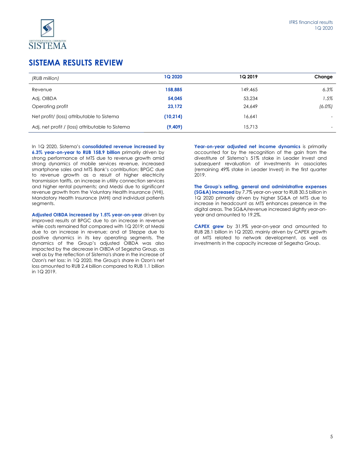

# **SISTEMA RESULTS REVIEW**

| (RUB million)                                    | <b>1Q 2020</b> | <b>1Q 2019</b> | Change    |
|--------------------------------------------------|----------------|----------------|-----------|
| Revenue                                          | 158,885        | 149,465        | 6.3%      |
| Adj. OIBDA                                       | 54,045         | 53,234         | 1.5%      |
| Operating profit                                 | 23,172         | 24.649         | $(6.0\%)$ |
| Net profit/ (loss) attributable to Sistema       | (10,214)       | 16.641         |           |
| Adj. net profit / (loss) attributable to Sistema | (9,409)        | 15.713         |           |

In 1Q 2020, Sistema's **consolidated revenue increased by 6.3% year-on-year to RUB 158.9 billion** primarily driven by strong performance of MTS due to revenue growth amid strong dynamics of mobile services revenue, increased smartphone sales and MTS Bank's contribution; BPGC due to revenue growth as a result of higher electricity transmission tariffs, an increase in utility connection services and higher rental payments; and Medsi due to significant revenue growth from the Voluntary Health Insurance (VHI), Mandatory Health Insurance (MHI) and individual patients segments.

**Adjusted OIBDA increased by 1.5% year-on-year** driven by improved results at BPGC due to an increase in revenue while costs remained flat compared with 1Q 2019; at Medsi due to an increase in revenue; and at Steppe due to positive dynamics in its key operating segments. The dynamics of the Group's adjusted OIBDA was also impacted by the decrease in OIBDA of Segezha Group, as well as by the reflection of Sistema's share in the increase of Ozon's net loss: in 1Q 2020, the Group's share in Ozon's net loss amounted to RUB 2.4 billion compared to RUB 1.1 billion in 1Q 2019.

**Year-on-year adjusted net income dynamics** is primarily accounted for by the recognition of the gain from the divestiture of Sistema's 51% stake in Leader Invest and subsequent revaluation of investments in associates (remaining 49% stake in Leader Invest) in the first quarter 2019.

**The Group's selling, general and administrative expenses (SG&A) increased** by 7.7% year-on-year to RUB 30.5 billion in 1Q 2020 primarily driven by higher SG&A at MTS due to increase in headcount as MTS enhances presence in the digital areas. The SG&A/revenue increased slightly year-onyear and amounted to 19.2%.

**CAPEX grew** by 31.9% year-on-year and amounted to RUB 28.1 billion in 1Q 2020, mainly driven by CAPEX growth at MTS related to network development, as well as investments in the capacity increase at Segezha Group.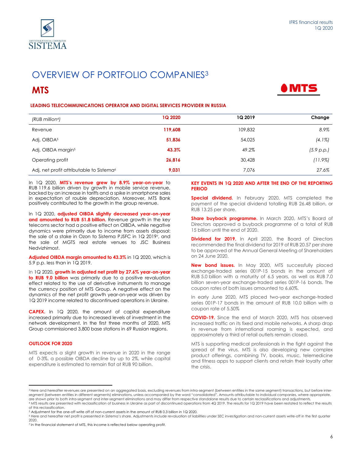

# OVERVIEW OF PORTFOLIO COMPANIES<sup>3</sup>

# **MTS**



| (RUB million4)                                       | <b>1Q 2020</b> | 1Q 2019 | Change     |
|------------------------------------------------------|----------------|---------|------------|
| Revenue                                              | 119,608        | 109,832 | 8.9%       |
| Adj. OIBDA <sup>5</sup>                              | 51,836         | 54,025  | $(4.1\%)$  |
| Adj. OIBDA margin <sup>5</sup>                       | 43.3%          | 49.2%   | (5.9 p.p.) |
| Operating profit                                     | 26,816         | 30,428  | (11.9%)    |
| Adj. net profit attributable to Sistema <sup>6</sup> | 9,031          | 7.076   | 27.6%      |

In 1Q 2020, **MTS's revenue grew by 8.9% year-on-year** to RUB 119.6 billion driven by growth in mobile service revenue, backed by an increase in tariffs and a spike in smartphone sales in expectation of rouble depreciation. Moreover, MTS Bank positively contributed to the growth in the group revenue.

In 1Q 2020, **adjusted OIBDA slightly decreased year-on-year and amounted to RUB 51.8 billion.** Revenue growth in the key telecoms sector had a positive effect on OIBDA, while negative dynamics were primarily due to income from assets disposal: the sale of a stake in Ozon to Sistema PJSFC in 1Q 20197, and the sale of MGTS real estate venues to JSC Business Nedvizhimost.

**Adjusted OIBDA margin amounted to 43.3%** in 1Q 2020, which is 5.9 p.p. less than in 1Q 2019.

In 1Q 2020, **growth in adjusted net profit by 27.6% year-on-year to RUB 9.0 billion** was primarily due to a positive revaluation effect related to the use of derivative instruments to manage the currency position of MTS Group. A negative effect on the dynamics of the net profit growth year-on-year was driven by 1Q 2019 income related to discontinued operations in Ukraine.

**CAPEX.** In 1Q 2020, the amount of capital expenditure increased primarily due to increased levels of investment in the network development. In the first three months of 2020, MTS Group commissioned 3,800 base stations in 69 Russian regions.

#### **OUTLOOK FOR 2020**

l

MTS expects a slight growth in revenue in 2020 in the range of 0-3%, a possible OIBDA decline by up to 2%, while capital expenditure is estimated to remain flat at RUB 90 billion.

#### **KEY EVENTS IN 1Q 2020 AND AFTER THE END OF THE REPORTING PERIOD**

**Special dividend.** In February 2020, MTS completed the payment of the special dividend totalling RUB 26.48 billion, or RUB 13.25 per share.

**Share buyback programme.** In March 2020, MTS's Board of Directors approved a buyback programme of a total of RUB 15 billion until the end of 2020.

**Dividend for 2019.** In April 2020, the Board of Directors recommended the final dividend for 2019 of RUB 20.57 per share to be approved at the Annual General Meeting of Shareholders on 24 June 2020.

**New bond issues.** In May 2020, MTS successfully placed exchange-traded series 001Р-15 bonds in the amount of RUB 5.0 billion with a maturity of 6.5 years, as well as RUB 7.0 billion seven-year exchange-traded series 001Р-16 bonds. The coupon rates of both issues amounted to 6.60%.

In early June 2020, MTS placed two-year exchange-traded series 001P-17 bonds in the amount of RUB 10.0 billion with a coupon rate of 5.50%

**COVID-19.** Since the end of March 2020, MTS has observed increased traffic on its fixed and mobile networks. A sharp drop in revenue from international roaming is expected, and approximately a third of retail outlets remain closed.

MTS is supporting medical professionals in the fight against the spread of the virus. MTS is also developing new complex product offerings, combining TV, books, music, telemedicine and fitness apps to support clients and retain their loyalty after the crisis.

<sup>&</sup>lt;sup>3</sup> Here and hereafter revenues are presented on an aggregated basis, excluding revenues from intra-segment (between entities in the same segment) transactions, but before intersegment (between entities in different segments) eliminations, unless accompanied by the word "consolidated". Amounts attributable to individual companies, where appropriate, are shown prior to both intra-segment and inter-segment eliminations and may differ from respective standalone results due to certain reclassifications and adjustments. <sup>4</sup> MTS results are presented with reclassification of business in Ukraine as part of discontinued operations from 4Q 2019. The results for 1Q 2019 have been restated to reflect the results

of this reclassification. <sup>5</sup> Adjustment for the one-off write off of non-current assets in the amount of RUB 0.3 billion in 1Q 2020.

<sup>&</sup>lt;sup>6</sup> Here and hereafter net profit is presented in Sistema's share. Adjustments include revaluation of liabilities under SEC investigation and non-current assets write-off in the first quarter 2020.

<sup>&</sup>lt;sup>7</sup> In the financial statement of MTS, this income is reflected below operating profit.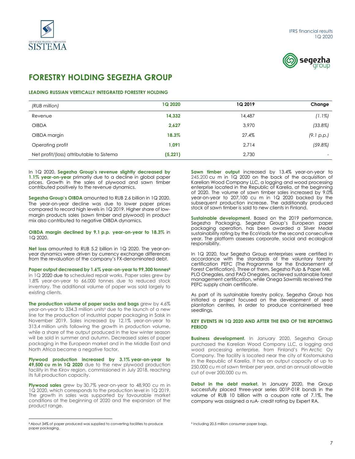



# **FORESTRY HOLDING SEGEZHA GROUP**

## **LEADING RUSSIAN VERTICALLY INTEGRATED FORESTRY HOLDING**

| (RUB million)                             | <b>1Q 2020</b> | 1Q 2019 | Change     |
|-------------------------------------------|----------------|---------|------------|
| Revenue                                   | 14,332         | 14,487  | $(1.1\%)$  |
| <b>OIBDA</b>                              | 2,627          | 3.970   | (33.8%)    |
| OIBDA margin                              | 18.3%          | 27.4%   | (9.1 p.p.) |
| Operating profit                          | 1,091          | 2,714   | (59.8%)    |
| Net profit/(loss) attributable to Sistema | (5, 221)       | 2.730   |            |

In 1Q 2020, **Segezha Group's revenue slightly decreased by 1.1% year-on-year** primarily due to a decline in global paper prices. Growth in the sales of plywood and sawn timber contributed positively to the revenue dynamics.

**Segezha Group's OIBDA** amounted to RUB 2.6 billion in 1Q 2020. The year-on-year decline was due to lower paper prices compared to record high levels in 1Q 2019. Higher share of lowmargin products sales (sawn timber and plywood) in product mix also contributed to negative OIBDA dynamics.

**OIBDA margin declined by 9.1 p.p. year-on-year to 18.3%** in 1Q 2020.

**Net loss** amounted to RUB 5.2 billion in 1Q 2020. The year-onyear dynamics were driven by currency exchange differences from the revaluation of the company's FX-denominated debt.

**Paper output decreased by 1.6% year-on-year to 99,300 tonnes<sup>8</sup>** in 1Q 2020 due to scheduled repair works. Paper sales grew by 1.8% year-on-year to 66,000 tonnes due to reduced stock inventory. The additional volume of paper was sold largely to existing clients.

**The production volume of paper sacks and bags** grew by 4.6% year-on-year to 334.3 million units<sup>9</sup> due to the launch of a new line for the production of industrial paper packaging in Salsk in November 2019. Sales increased by 12.1% year-on-year to 313.4 million units following the growth in production volume, while a share of the output produced in the low winter season will be sold in summer and autumn. Decreased sales of paper packaging in the European market and in the Middle East and North Africa became a negative factor.

**Plywood production increased by 3.1% year-on-year to 49,500 cu m in 1Q 2020** due to the new plywood production facility in the Kirov region, commissioned in July 2018, reaching its full production capacity.

**Plywood sales** grew by 30.7% year-on-year to 48,900 cu m in 1Q 2020, which corresponds to the production level in 1Q 2019. The growth in sales was supported by favourable market conditions at the beginning of 2020 and the expansion of the product range.

 $\overline{\phantom{a}}$ 

**Sawn timber output** increased by 13.4% year-on-year to 245,200 cu m in 1Q 2020 on the back of the acquisition of Karelian Wood Company LLC, a logging and wood processing enterprise located in the Republic of Karelia, at the beginning of 2020. The volume of sawn timber sales increased by 9.0% year-on-year to 207,100 cu m in 1Q 2020 backed by the subsequent production increase. The additionally produced stock of sawn timber is sold to new clients in Finland.

**Sustainable development.** Based on the 2019 performance, Segezha Packaging, Segezha Group's European paper packaging operation, has been awarded a Silver Medal sustainability rating by the EcoVadis for the second consecutive year. The platform assesses corporate, social and ecological responsibility.

In 1Q 2020, four Segezha Group enterprises were certified in accordance with the standards of the voluntary forestry certification PEFC (The Programme for the Endorsement of Forest Certification). Three of them, Segezha Pulp & Paper Mill, PLO Onegales, and PAO Onegales, achieved sustainable forest management certification, while Onega Sawmills received the PEFC supply chain certificate.

As part of its sustainable forestry policy, Segezha Group has initiated a project focused on the development of seed plantation centres, in order to produce containerised tree seedlings.

#### **KEY EVENTS IN 1Q 2020 AND AFTER THE END OF THE REPORTING PERIOD**

**Business development.** In January 2020, Segezha Group purchased the Karelian Wood Company LLC, a logging and wood processing enterprise, from Finland's Pin Arctic Oy Company. The facility is located near the city of Kostomuksha in the Republic of Karelia. It has an output capacity of up to 250,000 cu m of sawn timber per year, and an annual allowable cut of over 200,000 cu m.

**Debut in the debt market.** In January 2020, the Group successfully placed three-year series 001P-01R bonds in the volume of RUB 10 billion with a coupon rate of 7.1%. The company was assigned a ruA- credit rating by Expert RA.

<sup>8</sup> About 34% of paper produced was supplied to converting facilities to produce paper packaging.

<sup>9</sup> Including 20.5 million consumer paper bags.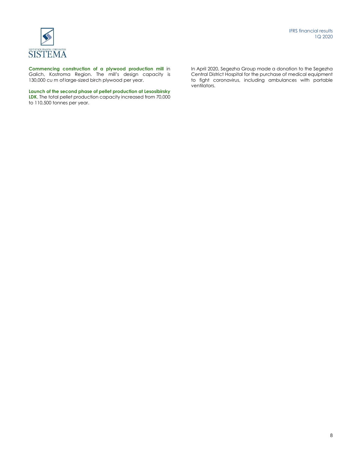

**Commencing construction of a plywood production mill** in Galich, Kostroma Region. The mill's design capacity is 130,000 cu m oflarge-sized birch plywood per year.

**Launch of the second phase of pellet production at Lesosibirsky LDK**. The total pellet production capacity increased from 70,000 to 110,500 tonnes per year.

In April 2020, Segezha Group made a donation to the Segezha Central District Hospital for the purchase of medical equipment to fight coronavirus, including ambulances with portable ventilators.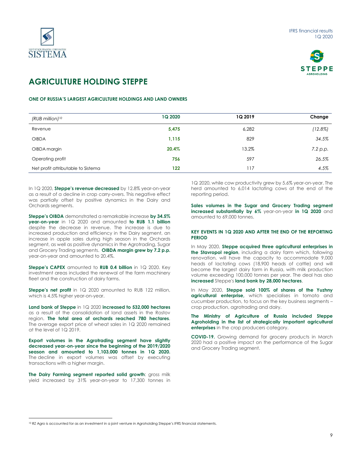



# **AGRICULTURE HOLDING STEPPE**

## **ONE OF RUSSIA'S LARGEST AGRICULTURE HOLDINGS AND LAND OWNERS**

| (RUB million) <sup>10</sup>        | <b>1Q 2020</b> | <b>1Q 2019</b> | Change     |
|------------------------------------|----------------|----------------|------------|
| Revenue                            | 5,475          | 6,282          | $(12.8\%)$ |
| <b>OIBDA</b>                       | 1,115          | 829            | 34.5%      |
| OIBDA margin                       | 20.4%          | 13.2%          | 7.2 p.p.   |
| Operating profit                   | 756            | 597            | 26.5%      |
| Net profit attributable to Sistema | 122            | 117            | 4.5%       |

In 1Q 2020, **Steppe's revenue decreased** by 12.8% year-on-year as a result of a decline in crop carry-overs. This negative effect was partially offset by positive dynamics in the Dairy and Orchards segments.

**Steppe's OIBDA** demonstrated a remarkable increase **by 34.5% year-on-year** in 1Q 2020 and amounted **to RUB 1.1 billion**  despite the decrease in revenue. The increase is due to increased production and efficiency in the Dairy segment, an increase in apple sales during high season in the Orchards segment, as well as positive dynamics in the Agrotrading, Sugar and Grocery Trading segments. **OIBDA margin grew by 7.2 p.p.** year-on-year and amounted to 20.4%.

**Steppe's CAPEX** amounted to **RUB 0.4 billion** in 1Q 2020. Key investment areas included the renewal of the farm machinery fleet and the construction of dairy farms.

**Steppe's net profit** in 1Q 2020 amounted to RUB 122 million, which is 4.5% higher year-on-year.

**Land bank of Steppe** in 1Q 2020 **increased to 532,000 hectares** as a result of the consolidation of land assets in the Rostov region. **The total area of orchards reached 780 hectares**. The average export price of wheat sales in 1Q 2020 remained at the level of 1Q 2019.

**Export volumes in the Agrotrading segment have slightly decreased year-on-year since the beginning of the 2019/2020 season and amounted to 1,103,000 tonnes in 1Q 2020.**  The decline in export volumes was offset by executing transactions with a higher margin.

**The Dairy Farming segment reported solid growth**: gross milk yield increased by 31% year-on-year to 17,300 tonnes in

 $\overline{\phantom{a}}$ 

1Q 2020, while cow productivity grew by 5.6% year-on-year. The herd amounted to 6,014 lactating cows at the end of the reporting period.

**Sales volumes in the Sugar and Grocery Trading segment increased substantially by 6%** year-on-year **in 1Q 2020** and amounted to 69,000 tonnes.

#### **KEY EVENTS IN 1Q 2020 AND AFTER THE END OF THE REPORTING PERIOD**

In May 2020, **Steppe acquired three agricultural enterprises in the Stavropol region**, including a dairy farm which, following renovation, will have the capacity to accommodate 9,000 heads of lactating cows (18,900 heads of cattle) and will become the largest dairy farm in Russia, with milk production volume exceeding 100,000 tonnes per year. The deal has also **increased** Steppe's **land bank by 28,000 hectares**.

In May 2020, **Steppe sold 100% of shares of the Yuzhny agricultural enterprise,** which specialises in tomato and cucumber production, to focus on the key business segments – crop production, agrotrading and dairy.

**The Ministry of Agriculture of Russia included Steppe Agroholding in the list of strategically important agricultural enterprises** in the crop producers category.

**COVID-19.** Growing demand for grocery products in March 2020 had a positive impact on the performance of the Sugar and Grocery Trading segment.

<sup>10</sup> RZ Agro is accounted for as an investment in a joint venture in Agroholding Steppe's IFRS financial statements.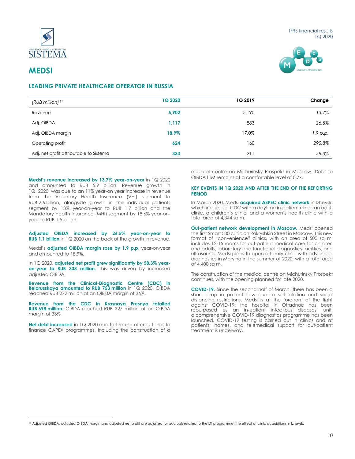



# **MEDSI**

 $\overline{a}$ 

# **LEADING PRIVATE HEALTHCARE OPERATOR IN RUSSIA**

| (RUB million) <sup>11</sup>             | 1Q 2020 | 1Q 2019 | Change   |
|-----------------------------------------|---------|---------|----------|
| Revenue                                 | 5,902   | 5,190   | 13.7%    |
| Adj. OIBDA                              | 1,117   | 883     | 26.5%    |
| Adj. OIBDA margin                       | 18.9%   | 17.0%   | 1.9 p.p. |
| Operating profit                        | 624     | 160     | 290.8%   |
| Adj. net profit attributable to Sistema | 333     | 211     | 58.3%    |

**Medsi's revenue increased by 13.7% year-on-year** in 1Q 2020 and amounted to RUB 5.9 billion. Revenue growth in 1Q 2020 was due to an 11% year-on year increase in revenue from the Voluntary Health Insurance (VHI) segment to RUB 2.6 billion, alongside growth in the individual patients segment by 13% year-on-year to RUB 1.7 billion and the Mandatory Health Insurance (MHI) segment by 18.6% year-onyear to RUB 1.5 billion.

**Adjusted OIBDA increased by 26.5% year-on-year to RUB 1.1 billion** in 1Q 2020 on the back of the growth in revenue.

Medsi's **adjusted OIBDA margin rose by 1.9 p.p**, year-on-year and amounted to 18.9%.

In 1Q 2020, **adjusted net profit grew significantly by 58.3% yearon-year to RUB 333 million.** This was driven by increased adjusted OIBDA.

**Revenue from the Clinical-Diagnostic Centre (CDC) in Belorusskaya amounted to RUB 753 million** in 1Q 2020. OIBDA reached RUB 272 million at an OIBDA margin of 36%.

**Revenue from the CDC in Krasnaya Presnya totalled RUB 698 million.** OIBDA reached RUB 227 million at an OIBDA margin of 33%.

**Net debt increased** in 1Q 2020 due to the use of credit lines to finance CAPEX programmes, including the construction of a

medical centre on Michurinsky Prospekt in Moscow. Debt to OIBDA LTM remains at a comfortable level of 0.7x.

#### **KEY EVENTS IN 1Q 2020 AND AFTER THE END OF THE REPORTING PERIOD**

In March 2020, Medsi **acquired ASPEC clinic network** in Izhevsk, which includes a CDC with a daytime in-patient clinic, an adult clinic, a children's clinic, and a women's health clinic with a total area of 4,344 sq m.

**Out-patient network development in Moscow.** Medsi opened the first Smart 500 clinic on Pokryshkin Street in Moscow. This new format of "convenience" clinics, with an area of 500 sq m, includes 12-15 rooms for out-patient medical care for children and adults, laboratory and functional diagnostics facilities, and ultrasound. Medsi plans to open a family clinic with advanced diagnostics in Maryino in the summer of 2020, with a total area of 4,400 sq m.

The construction of the medical centre on Michurinsky Prospekt continues, with the opening planned for late 2020.

**COVID-19.** Since the second half of March, there has been a sharp drop in patient flow due to self-isolation and social distancing restrictions. Medsi is at the forefront of the fight against COVID-19: the hospital in Otradnoe has been repurposed as an in-patient infectious diseases' unit, a comprehensive COVID-19 diagnostics programme has been launched, COVID-19 testing is carried out in clinics and at patients' homes, and telemedical support for out-patient treatment is underway.

<sup>11</sup> Adjusted OIBDA, adjusted OIBDA margin and adjusted net profit are adjusted for accruals related to the LTI programme, the effect of clinic acquisitions in Izhevsk.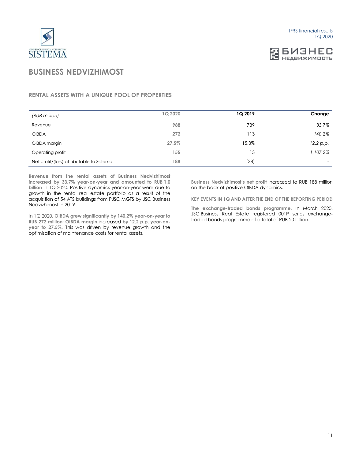

# **EL ENSHEC**

# **BUSINESS NEDVIZHIMOST**

# **RENTAL ASSETS WITH A UNIQUE POOL OF PROPERTIES**

| (RUB million)                             | 1Q 2020 | 1Q 2019 | Change                   |
|-------------------------------------------|---------|---------|--------------------------|
| Revenue                                   | 988     | 739     | 33.7%                    |
| <b>OIBDA</b>                              | 272     | 113     | 140.2%                   |
| OIBDA margin                              | 27.5%   | 15.3%   | 12.2 p.p.                |
| Operating profit                          | 155     | 13      | 1,107.2%                 |
| Net profit/(loss) attributable to Sistema | 188     | (38)    | $\overline{\phantom{0}}$ |

**Revenue from the rental assets of Business Nedvizhimost increased by 33.7% year-on-year and amounted to RUB 1.0 billion** in 1Q 2020**.** Positive dynamics year-on-year were due to growth in the rental real estate portfolio as a result of the acquisition of 54 ATS buildings from PJSC MGTS by JSC Business Nedvizhimost in 2019.

In 1Q 2020, **OIBDA grew significantly by 140.2% year-on-year to RUB 272 million**; **OIBDA margin** increased **by 12.2 p.p. year-onyear to 27.5%.** This was driven by revenue growth and the optimisation of maintenance costs for rental assets.

**Business Nedvizhimost's net profit** increased to RUB 188 million on the back of positive OIBDA dynamics.

**KEY EVENTS IN 1Q AND AFTER THE END OF THE REPORTING PERIOD**

**The exchange-traded bonds programme.** In March 2020, JSC Business Real Estate registered 001P series exchangetraded bonds programme of a total of RUB 20 billion.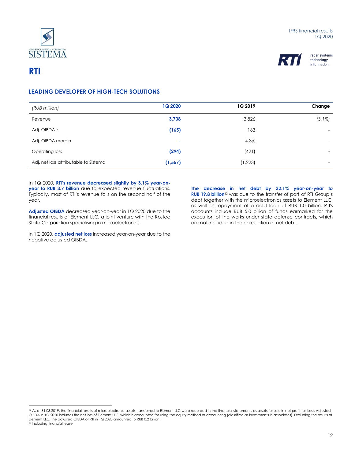



# **RTI**

 $\overline{a}$ 

# **LEADING DEVELOPER OF HIGH-TECH SOLUTIONS**

| (RUB million)                         | <b>1Q 2020</b> | <b>1Q 2019</b> | Change                   |
|---------------------------------------|----------------|----------------|--------------------------|
| Revenue                               | 3,708          | 3,826          | $(3.1\%)$                |
| Adj. OIBDA <sup>12</sup>              | (165)          | 163            | $\overline{a}$           |
| Adj. OIBDA margin                     | $\sim$         | 4.3%           | $\overline{\phantom{0}}$ |
| Operating loss                        | (294)          | (421)          | $\overline{\phantom{0}}$ |
| Adj. net loss attributable to Sistema | (1, 557)       | (1, 223)       | $\overline{a}$           |

In 1Q 2020, **RTI's revenue decreased slightly by 3.1% year-onyear to RUB 3.7 billion** due to expected revenue fluctuations. Typically, most of RTI's revenue falls on the second half of the year.

**Adjusted OIBDA** decreased year-on-year in 1Q 2020 due to the financial results of Element LLC, a joint venture with the Rostec State Corporation specialising in microelectronics.

In 1Q 2020, **adjusted net loss** increased year-on-year due to the negative adjusted OIBDA.

**The decrease in net debt by 32.1% year-on-year to RUB 19.8 billion**<sup>13</sup> was due to the transfer of part of RTI Group's debt together with the microelectronics assets to Element LLC, as well as repayment of a debt loan of RUB 1.0 billion. RTI's accounts include RUB 5.0 billion of funds earmarked for the execution of the works under state defense contracts, which are not included in the calculation of net debt.

<sup>&</sup>lt;sup>12</sup> As at 31.03.2019, the financial results of microelectronic assets transferred to Element LLC were recorded in the financial statements as assets for sale in net profit (or loss). Adjusted OIBDA in 1Q 2020 includes the net loss of Element LLC, which is accounted for using the equity method of accounting (classified as investments in associates). Excluding the results of Element LLC, the adjusted OIBDA of RTI in 1Q 2020 amounted to RUB 0.2 billion. 13 Including financial lease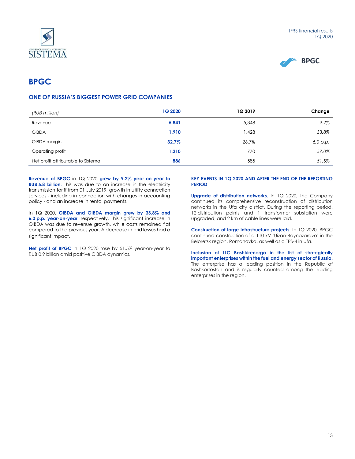



# **BPGC**

# **ONE OF RUSSIA'S BIGGEST POWER GRID COMPANIES**

| (RUB million)                      | <b>1Q 2020</b> | <b>1Q 2019</b> | Change   |
|------------------------------------|----------------|----------------|----------|
| Revenue                            | 5,841          | 5,348          | 9.2%     |
| <b>OIBDA</b>                       | 1,910          | 1,428          | 33.8%    |
| OIBDA margin                       | 32.7%          | 26.7%          | 6,0 p.p. |
| Operating profit                   | 1,210          | 770            | 57.0%    |
| Net profit attributable to Sistema | 886            | 585            | 51.5%    |

**Revenue of BPGC** in 1Q 2020 **grew by 9.2% year-on-year to RUB 5.8 billion.** This was due to an increase in the electricity transmission tariff from 01 July 2019, growth in utility connection services - including in connection with changes in accounting policy - and an increase in rental payments.

In 1Q 2020, **OIBDA and OIBDA margin grew by 33.8% and 6.0 p.p. year-on-year**, respectively. This significant increase in OIBDA was due to revenue growth, while costs remained flat compared to the previous year. A decrease in grid losses had a significant impact.

**Net profit of BPGC** in 1Q 2020 rose by 51.5% year-on-year to RUB 0.9 billion amid positive OIBDA dynamics.

#### **KEY EVENTS IN 1Q 2020 AND AFTER THE END OF THE REPORTING PERIOD**

**Upgrade of distribution networks.** In 1Q 2020, the Company continued its comprehensive reconstruction of distribution networks in the Ufa city district. During the reporting period, 12 distribution points and 1 transformer substation were upgraded, and 2 km of cable lines were laid.

**Construction of large infrastructure projects.** In 1Q 2020, BPGC continued construction of a 110 kV "Uizan-Baynazarovo" in the Beloretsk region, Romanovka, as well as a TPS-4 in Ufa.

**Inclusion of LLC Bashkirenergo in the list of strategically important enterprises within the fuel and energy sector of Russia.** The enterprise has a leading position in the Republic of Bashkortostan and is regularly counted among the leading enterprises in the region.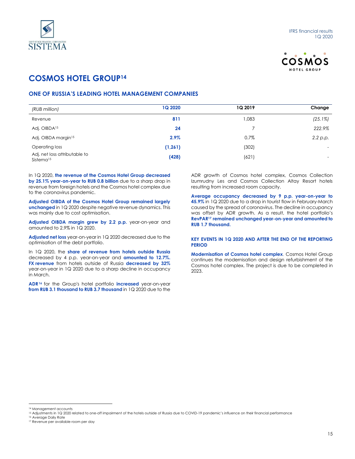



# **COSMOS HOTEL GROUP<sup>14</sup>**

# **ONE OF RUSSIA'S LEADING HOTEL MANAGEMENT COMPANIES**

| (RUB million)                                          | <b>1Q 2020</b> | 1Q 2019 | Change                   |
|--------------------------------------------------------|----------------|---------|--------------------------|
| Revenue                                                | 811            | 1,083   | $(25.1\%)$               |
| Adj. OIBDA <sup>15</sup>                               | 24             |         | 222.9%                   |
| Adj. OIBDA margin <sup>15</sup>                        | $2.9\%$        | 0.7%    | 2.2 p.p.                 |
| Operating loss                                         | (1, 261)       | (302)   | -                        |
| Adj. net loss attributable to<br>Sistema <sup>15</sup> | (428)          | (621)   | $\overline{\phantom{0}}$ |

In 1Q 2020, **the revenue of the Cosmos Hotel Group decreased by 25.1% year-on-year to RUB 0.8 billion** due to a sharp drop in revenue from foreign hotels and the Cosmos hotel complex due to the coronavirus pandemic.

**Adjusted OIBDA of the Cosmos Hotel Group remained largely unchanged** in 1Q 2020 despite negative revenue dynamics. This was mainly due to cost optimisation.

**Adjusted OIBDA margin grew by 2.2 p.p.** year-on-year and amounted to 2.9% in 1Q 2020.

**Adjusted net loss** year-on-year in 1Q 2020 decreased due to the optimisation of the debt portfolio.

In 1Q 2020, the **share of revenue from hotels outside Russia**  decreased by 4 p.p. year-on-year and **amounted to 12.7%. FX revenue** from hotels outside of Russia **decreased by 32%**  year-on-year in 1Q 2020 due to a sharp decline in occupancy in March.

**ADR<sup>16</sup>** for the Group's hotel portfolio **increased** year-on-year **from RUB 3.1 thousand to RUB 3.7 thousand** in 1Q 2020 due to the

ADR growth of Cosmos hotel complex, Cosmos Collection Izumrudny Les and Cosmos Collection Altay Resort hotels resulting from increased room capacity.

**Average occupancy decreased by 9 p.p. year-on-year to 45.9%** in 1Q 2020 due to a drop in tourist flow in February-March caused by the spread of coronavirus. The decline in occupancy was offset by ADR growth. As a result, the hotel portfolio's **RevPAR<sup>17</sup> remained unchanged year-on-year and amounted to RUB 1.7 thousand.**

### **KEY EVENTS IN 1Q 2020 AND AFTER THE END OF THE REPORTING PERIOD**

**Modernisation of Cosmos hotel complex**. Cosmos Hotel Group continues the modernisation and design refurbishment of the Cosmos hotel complex. The project is due to be completed in 2023.

l

<sup>14</sup> Management accounts

<sup>&</sup>lt;sup>15</sup> Adjustments in 1Q 2020 related to one-off impairment of the hotels outside of Russia due to COVID-19 pandemic's influence on their financial performance

<sup>16</sup> Average Daily Rate

<sup>17</sup> Revenue per available room per day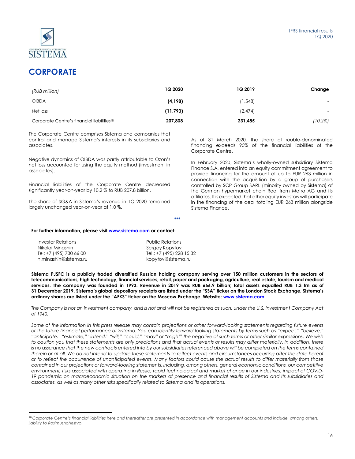

# **CORPORATE**

 $\overline{a}$ 

| (RUB million)                                          | 1Q 2020  | 1Q 2019 | Change                   |
|--------------------------------------------------------|----------|---------|--------------------------|
| <b>OIBDA</b>                                           | (4, 198) | (1,548) | $\overline{\phantom{a}}$ |
| Net loss                                               | (11,793) | (2,474) | $\overline{\phantom{0}}$ |
| Corporate Centre's financial liabilities <sup>18</sup> | 207,808  | 231,485 | (10.2%)                  |

The Corporate Centre comprises Sistema and companies that control and manage Sistema's interests in its subsidiaries and associates.

Negative dynamics of OIBDA was partly attributable to Ozon's net loss accounted for using the equity method (investment in associates).

Financial liabilities of the Corporate Centre decreased significantly year-on-year by 10.2 % to RUB 207.8 billion.

The share of SG&A in Sistema's revenue in 1Q 2020 remained largely unchanged year-on-year at 1.0 %.

As of 31 March 2020, the share of rouble-denominated financing exceeds 95% of the financial liabilities of the Corporate Centre.

In February 2020, Sistema's wholly-owned subsidiary Sistema Finance S.A. entered into an equity commitment agreement to provide financing for the amount of up to EUR 263 million in connection with the acquisition by a group of purchasers controlled by SCP Group SARL (minority owned by Sistema) of the German hypermarket chain Real from Metro AG and its affiliates. It is expected that other equity investors will participate in the financing of the deal totaling EUR 263 million alongside Sistema Finance.

#### **For further information, please visi[t www.sistema.com](http://www.sistema.com/) or contact:**

| Investor Relations      | <b>Public Relations</b>  |
|-------------------------|--------------------------|
| Nikolai Minashin        | Sergey Kopytov           |
| Tel: +7 (495) 730 66 00 | Tel.: +7 (495) 228 15 32 |
| n.minashin@sistema.ru   | kopytov@sistema.ru       |

**Sistema PJSFC is a publicly traded diversified Russian holding company serving over 150 million customers in the sectors of telecommunications, high technology, financial services, retail, paper and packaging, agriculture, real estate, tourism and medical services. The company was founded in 1993. Revenue in 2019 was RUB 656.9 billion; total assets equalled RUB 1.3 trn as of 31 December 2019. Sistema's global depositary receipts are listed under the "SSA" ticker on the London Stock Exchange. Sistema's ordinary shares are listed under the "AFKS" ticker on the Moscow Exchange. Website: [www.sistema.com.](http://www.sistema.ru/)**

**\*\*\***

*The Company is not an investment company, and is not and will not be registered as such, under the U.S. Investment Company Act of 1940.*

*Some of the information in this press release may contain projections or other forward-looking statements regarding future events or the future financial performance of Sistema. You can identify forward looking statements by terms such as "expect," "believe," "anticipate," "estimate," "intend," "will," "could," "may" or "might" the negative of such terms or other similar expressions. We wish*  to caution you that these statements are only predictions and that actual events or results may differ materially. In addition, there is no assurance that the new contracts entered into by our subsidiaries referenced above will be completed on the terms contained *therein or at all. We do not intend to update these statements to reflect events and circumstances occurring after the date hereof or to reflect the occurrence of unanticipated events. Many factors could cause the actual results to differ materially from those contained in our projections or forward-looking statements, including, among others, general economic conditions, our competitive environment, risks associated with operating in Russia, rapid technological and market change in our industries, impact of COVID-*19 pandemic on macroeconomic situation on the markets of presence and financial results of Sistema and its subsidiaries and *associates, as well as many other risks specifically related to Sistema and its operations.*

<sup>&</sup>lt;sup>18</sup> Corporate Centre's financial liabilities here and thereafter are presented in accordance with management accounts and include, among others, *liability to Rosimushchestvo.*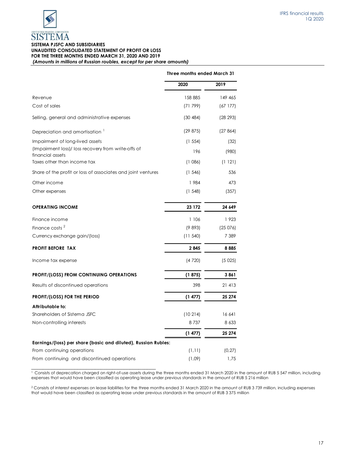

## **SISTEMA PJSFC AND SUBSIDIARIES UNAUDITED CONSOLIDATED STATEMENT OF PROFIT OR LOSS FOR THE THREE MONTHS ENDED MARCH 31, 2020 AND 2019**

*(Amounts in millions of Russian roubles, except for per share amounts)*

|                                                                         | Three months ended March 31 |          |
|-------------------------------------------------------------------------|-----------------------------|----------|
|                                                                         | 2020                        | 2019     |
| Revenue                                                                 | 158 885                     | 149 465  |
| Cost of sales                                                           | (71799)                     | (67177)  |
| Selling, general and administrative expenses                            | (30 484)                    | (28 293) |
| Depreciation and amortisation '                                         | (29 875)                    | (27864)  |
| Impairment of long-lived assets                                         | (1 554)                     | (32)     |
| (Impairment loss)/ loss recovery from write-offs of<br>financial assets | 196                         | (980)    |
| Taxes other than income tax                                             | (1086)                      | (1121)   |
| Share of the profit or loss of associates and joint ventures            | (1, 546)                    | 536      |
| Other income                                                            | 1984                        | 473      |
| Other expenses                                                          | (1548)                      | (357)    |
| <b>OPERATING INCOME</b>                                                 | 23 172                      | 24 649   |
| Finance income                                                          | 1 106                       | 1923     |
| Finance costs <sup>2</sup>                                              | (9893)                      | (25076)  |
| Currency exchange gain/(loss)                                           | (11.540)                    | 7 3 8 9  |
| <b>PROFIT BEFORE TAX</b>                                                | 2845                        | 8885     |
| Income tax expense                                                      | (4720)                      | (5025)   |
| <b>PROFIT/(LOSS) FROM CONTINUING OPERATIONS</b>                         | (1875)                      | 3861     |
| Results of discontinued operations                                      | 398                         | 21 413   |
| PROFIT/(LOSS) FOR THE PERIOD                                            | (1 477)                     | 25 274   |
| Attributable to:                                                        |                             |          |
| Shareholders of Sistema JSFC                                            | (10214)                     | 16 641   |
| Non-controlling interests                                               | 8737                        | 8 6 3 3  |
|                                                                         | (1477)                      | 25 274   |
| Earnings/(loss) per share (basic and diluted), Russian Rubles:          |                             |          |
| From continuing operations                                              | (1, 11)                     | (0, 27)  |
| From continuing and discontinued operations                             | (1,09)                      | 1,75     |

\_\_\_\_\_\_\_\_\_\_\_\_\_\_\_\_\_\_\_\_\_\_\_\_\_\_\_\_\_\_\_\_\_\_\_\_\_\_\_\_\_\_\_ <sup>1</sup> Consists of deprecation charged on right-of-use assets during the three months ended 31 March 2020 in the amount of RUB 5 547 million, including expenses that would have been classified as operating lease under previous standards in the amount of RUB 5 216 million

<sup>2</sup> Consists of interest expenses on lease liabilities for the three months ended 31 March 2020 in the amount of RUB 3 739 million, including expenses that would have been classified as operating lease under previous standards in the amount of RUB 3 375 million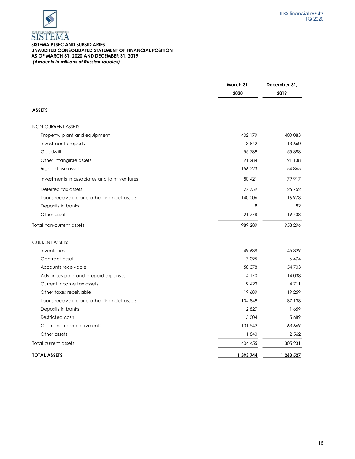## **SISTEMA PJSFC AND SUBSIDIARIES UNAUDITED CONSOLIDATED STATEMENT OF FINANCIAL POSITION AS OF MARCH 31, 2020 AND DECEMBER 31, 2019** *(Amounts in millions of Russian roubles)*

|                                              | March 31,<br>2020 | December 31,<br>2019 |
|----------------------------------------------|-------------------|----------------------|
| <b>ASSETS</b>                                |                   |                      |
| NON-CURRENT ASSETS:                          |                   |                      |
| Property, plant and equipment                | 402 179           | 400 083              |
| Investment property                          | 13842             | 13 660               |
| Goodwill                                     | 55 789            | 55 388               |
| Other intangible assets                      | 91 284            | 91 138               |
| Right-of-use asset                           | 156 223           | 154 865              |
| Investments in associates and joint ventures | 80 421            | 79 917               |
| Deferred tax assets                          | 27 759            | 26 752               |
| Loans receivable and other financial assets  | 140 006           | 116 973              |
| Deposits in banks                            | 8                 | 82                   |
| Other assets                                 | 21 778            | 19 438               |
| Total non-current assets                     | 989 289           | 958 296              |
| <b>CURRENT ASSETS:</b>                       |                   |                      |
| Inventories                                  | 49 638            | 45 329               |
| Contract asset                               | 7095              | 6474                 |
| Accounts receivable                          | 58 378            | 54 703               |
| Advances paid and prepaid expenses           | 14 170            | 14 0 38              |
| Current income tax assets                    | 9 4 23            | 4711                 |
| Other taxes receivable                       | 19 689            | 19 259               |
| Loans receivable and other financial assets  | 104 849           | 87 138               |
| Deposits in banks                            | 2827              | 1659                 |
| Restricted cash                              | 5 0 0 4           | 5 689                |
| Cash and cash equivalents                    | 131 542           | 63 669               |
| Other assets                                 | 1840              | 2 5 6 2              |
| Total current assets                         | 404 455           | 305 231              |
| <b>TOTAL ASSETS</b>                          | 1 393 744         | 1 263 527            |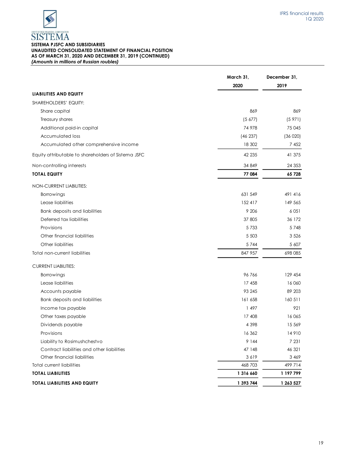

## **SISTEMA PJSFC AND SUBSIDIARIES UNAUDITED CONSOLIDATED STATEMENT OF FINANCIAL POSITION AS OF MARCH 31, 2020 AND DECEMBER 31, 2019 (CONTINUED)** *(Amounts in millions of Russian roubles)*

|                                                     | March 31,<br>2020 | December 31,<br>2019 |
|-----------------------------------------------------|-------------------|----------------------|
| <b>LIABILITIES AND EQUITY</b>                       |                   |                      |
| <b>SHAREHOLDERS' EQUITY:</b>                        |                   |                      |
| Share capital                                       | 869               | 869                  |
| Treasury shares                                     | (5, 677)          | (5971)               |
| Additional paid-in capital                          | 74 978            | 75 045               |
| <b>Accumulated loss</b>                             | (46 237)          | (36 020)             |
| Accumulated other comprehensive income              | 18 302            | 7 4 5 2              |
| Equity attributable to shareholders of Sistema JSFC | 42 235            | 41 375               |
| Non-controlling interests                           | 34 849            | 24 3 5 3             |
| <b>TOTAL EQUITY</b>                                 | 77 084            | 65 728               |
| NON-CURRENT LIABILITIES:                            |                   |                      |
| Borrowings                                          | 631 549           | 491 416              |
| Lease liabilities                                   | 152 417           | 149 565              |
| Bank deposits and liabilities                       | 9 2 0 6           | 6 0 5 1              |
| Deferred tax liabilities                            | 37 805            | 36 172               |
| Provisions                                          | 5733              | 5748                 |
| Other financial liabilities                         | 5 5 0 3           | 3 5 2 6              |
| Other liabilities                                   | 5 7 4 4           | 5 607                |
| Total non-current liabilities                       | 847 957           | 698 085              |
| <b>CURRENT LIABILITIES:</b>                         |                   |                      |
| Borrowings                                          | 96766             | 129 454              |
| Lease liabilities                                   | 17 458            | 16 060               |
| Accounts payable                                    | 93 245            | 89 203               |
| Bank deposits and liabilities                       | 161 658           | 160 511              |
| Income tax payable                                  | 1 497             | 921                  |
| Other taxes payable                                 | 17 408            | 16065                |
| Dividends payable                                   | 4 3 9 8           | 15 5 69              |
| Provisions                                          | 16 362            | 14910                |
| Liability to Rosimushchestvo                        | 9 144             | 7 2 3 1              |
| Contract liabilities and other liabilities          | 47 148            | 46 321               |
| Other financial liabilities                         | 3619              | 3 4 6 9              |
| <b>Total current liabilities</b>                    | 468 703           | 499 714              |
| <b>TOTAL LIABILITIES</b>                            | 1 316 660         | 1 197 799            |
| <b>TOTAL LIABILITIES AND EQUITY</b>                 | 1 393 744         | 1 263 527            |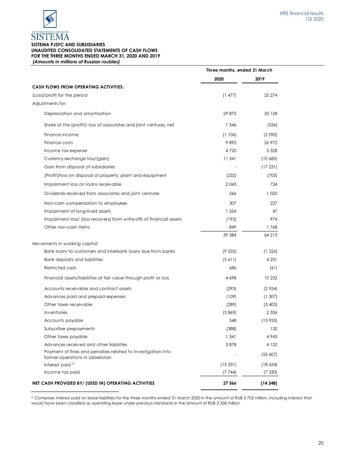

## **SISTEMA PJSFC AND SUBSIDIARIES UNAUDITED CONSOLIDATED STATEMENTS OF CASH FLOWS FOR THE THREE MONTHS ENDED MARCH 31, 2020 AND 2019** *(Amounts in millions of Russian roubles)*

| 2020<br>2019<br><b>CASH FLOWS FROM OPERATING ACTIVITIES:</b><br>25 274<br>(1 477)<br>(Loss)/profit for the period<br>Adjustments for:<br>29 875<br>33 128<br>Depreciation and amortization<br>Share of the (profit)/ loss of associates and joint ventures, net<br>1 5 4 6<br>(536)<br>Finance income<br>(1106)<br>(2092)<br>9893<br>26 972<br>Finance costs<br>Income tax expense<br>4 7 2 0<br>5 3 2 8<br>11 541<br>Currency exchange loss/(gain)<br>(10685)<br>Gain from disposal of subsidiaries<br>(17231)<br>(Profit)/loss on disposal of property, plant and equipment<br>(232)<br>(705)<br>Impairment loss on loans receivable<br>2043<br>724<br>1 0 2 0<br>Dividends received from associates and joint ventures<br>266<br>307<br>227<br>Non-cash compensation to employees<br>1 5 5 4<br>Impairment of long-lived assets<br>47<br>Impairment loss/ (loss recovery) from write-offs of financial assets<br>974<br>(195)<br>Other non-cash items<br>849<br>1768<br>59 584<br>64 213<br>Movements in working capital:<br>Bank loans to customers and interbank loans due from banks<br>(9535)<br>(1226)<br>Bank deposits and liabilities<br>(5 611)<br>4 2 3 1<br>Restricted cash<br>686<br>(61)<br>10 232<br>Financial assets/liabilities at fair value through profit or loss<br>4 6 9 8<br>Accounts receivable and contract assets<br>(293)<br>(2954)<br>Advances paid and prepaid expenses<br>(109)<br>(1307)<br>Other taxes receivable<br>(289)<br>(3, 403)<br>Inventories<br>(3869)<br>2 3 3 6<br>Accounts payable<br>548<br>(13955)<br>(388)<br>132<br>Subscriber prepayments<br>Other taxes payable<br>1 341<br>4 9 4 3<br>Advances received and other liabilities<br>3878<br>4 1 3 2<br>Payment of fines and penalties related to investigation into<br>(55 607)<br>former operations in Uzbekistan<br>Interest paid <sup>3</sup><br>(15331)<br>(18624)<br>Income tax paid<br>(7744)<br>(7330)<br>NET CASH PROVIDED BY/ (USED IN) OPERATING ACTIVITIES<br>27 566<br>(14248) | Three months, ended 31 March |  |
|---------------------------------------------------------------------------------------------------------------------------------------------------------------------------------------------------------------------------------------------------------------------------------------------------------------------------------------------------------------------------------------------------------------------------------------------------------------------------------------------------------------------------------------------------------------------------------------------------------------------------------------------------------------------------------------------------------------------------------------------------------------------------------------------------------------------------------------------------------------------------------------------------------------------------------------------------------------------------------------------------------------------------------------------------------------------------------------------------------------------------------------------------------------------------------------------------------------------------------------------------------------------------------------------------------------------------------------------------------------------------------------------------------------------------------------------------------------------------------------------------------------------------------------------------------------------------------------------------------------------------------------------------------------------------------------------------------------------------------------------------------------------------------------------------------------------------------------------------------------------------------------------------------------------------------------------------------------------------------------------|------------------------------|--|
|                                                                                                                                                                                                                                                                                                                                                                                                                                                                                                                                                                                                                                                                                                                                                                                                                                                                                                                                                                                                                                                                                                                                                                                                                                                                                                                                                                                                                                                                                                                                                                                                                                                                                                                                                                                                                                                                                                                                                                                             |                              |  |
|                                                                                                                                                                                                                                                                                                                                                                                                                                                                                                                                                                                                                                                                                                                                                                                                                                                                                                                                                                                                                                                                                                                                                                                                                                                                                                                                                                                                                                                                                                                                                                                                                                                                                                                                                                                                                                                                                                                                                                                             |                              |  |
|                                                                                                                                                                                                                                                                                                                                                                                                                                                                                                                                                                                                                                                                                                                                                                                                                                                                                                                                                                                                                                                                                                                                                                                                                                                                                                                                                                                                                                                                                                                                                                                                                                                                                                                                                                                                                                                                                                                                                                                             |                              |  |
|                                                                                                                                                                                                                                                                                                                                                                                                                                                                                                                                                                                                                                                                                                                                                                                                                                                                                                                                                                                                                                                                                                                                                                                                                                                                                                                                                                                                                                                                                                                                                                                                                                                                                                                                                                                                                                                                                                                                                                                             |                              |  |
|                                                                                                                                                                                                                                                                                                                                                                                                                                                                                                                                                                                                                                                                                                                                                                                                                                                                                                                                                                                                                                                                                                                                                                                                                                                                                                                                                                                                                                                                                                                                                                                                                                                                                                                                                                                                                                                                                                                                                                                             |                              |  |
|                                                                                                                                                                                                                                                                                                                                                                                                                                                                                                                                                                                                                                                                                                                                                                                                                                                                                                                                                                                                                                                                                                                                                                                                                                                                                                                                                                                                                                                                                                                                                                                                                                                                                                                                                                                                                                                                                                                                                                                             |                              |  |
|                                                                                                                                                                                                                                                                                                                                                                                                                                                                                                                                                                                                                                                                                                                                                                                                                                                                                                                                                                                                                                                                                                                                                                                                                                                                                                                                                                                                                                                                                                                                                                                                                                                                                                                                                                                                                                                                                                                                                                                             |                              |  |
|                                                                                                                                                                                                                                                                                                                                                                                                                                                                                                                                                                                                                                                                                                                                                                                                                                                                                                                                                                                                                                                                                                                                                                                                                                                                                                                                                                                                                                                                                                                                                                                                                                                                                                                                                                                                                                                                                                                                                                                             |                              |  |
|                                                                                                                                                                                                                                                                                                                                                                                                                                                                                                                                                                                                                                                                                                                                                                                                                                                                                                                                                                                                                                                                                                                                                                                                                                                                                                                                                                                                                                                                                                                                                                                                                                                                                                                                                                                                                                                                                                                                                                                             |                              |  |
|                                                                                                                                                                                                                                                                                                                                                                                                                                                                                                                                                                                                                                                                                                                                                                                                                                                                                                                                                                                                                                                                                                                                                                                                                                                                                                                                                                                                                                                                                                                                                                                                                                                                                                                                                                                                                                                                                                                                                                                             |                              |  |
|                                                                                                                                                                                                                                                                                                                                                                                                                                                                                                                                                                                                                                                                                                                                                                                                                                                                                                                                                                                                                                                                                                                                                                                                                                                                                                                                                                                                                                                                                                                                                                                                                                                                                                                                                                                                                                                                                                                                                                                             |                              |  |
|                                                                                                                                                                                                                                                                                                                                                                                                                                                                                                                                                                                                                                                                                                                                                                                                                                                                                                                                                                                                                                                                                                                                                                                                                                                                                                                                                                                                                                                                                                                                                                                                                                                                                                                                                                                                                                                                                                                                                                                             |                              |  |
|                                                                                                                                                                                                                                                                                                                                                                                                                                                                                                                                                                                                                                                                                                                                                                                                                                                                                                                                                                                                                                                                                                                                                                                                                                                                                                                                                                                                                                                                                                                                                                                                                                                                                                                                                                                                                                                                                                                                                                                             |                              |  |
|                                                                                                                                                                                                                                                                                                                                                                                                                                                                                                                                                                                                                                                                                                                                                                                                                                                                                                                                                                                                                                                                                                                                                                                                                                                                                                                                                                                                                                                                                                                                                                                                                                                                                                                                                                                                                                                                                                                                                                                             |                              |  |
|                                                                                                                                                                                                                                                                                                                                                                                                                                                                                                                                                                                                                                                                                                                                                                                                                                                                                                                                                                                                                                                                                                                                                                                                                                                                                                                                                                                                                                                                                                                                                                                                                                                                                                                                                                                                                                                                                                                                                                                             |                              |  |
|                                                                                                                                                                                                                                                                                                                                                                                                                                                                                                                                                                                                                                                                                                                                                                                                                                                                                                                                                                                                                                                                                                                                                                                                                                                                                                                                                                                                                                                                                                                                                                                                                                                                                                                                                                                                                                                                                                                                                                                             |                              |  |
|                                                                                                                                                                                                                                                                                                                                                                                                                                                                                                                                                                                                                                                                                                                                                                                                                                                                                                                                                                                                                                                                                                                                                                                                                                                                                                                                                                                                                                                                                                                                                                                                                                                                                                                                                                                                                                                                                                                                                                                             |                              |  |
|                                                                                                                                                                                                                                                                                                                                                                                                                                                                                                                                                                                                                                                                                                                                                                                                                                                                                                                                                                                                                                                                                                                                                                                                                                                                                                                                                                                                                                                                                                                                                                                                                                                                                                                                                                                                                                                                                                                                                                                             |                              |  |
|                                                                                                                                                                                                                                                                                                                                                                                                                                                                                                                                                                                                                                                                                                                                                                                                                                                                                                                                                                                                                                                                                                                                                                                                                                                                                                                                                                                                                                                                                                                                                                                                                                                                                                                                                                                                                                                                                                                                                                                             |                              |  |
|                                                                                                                                                                                                                                                                                                                                                                                                                                                                                                                                                                                                                                                                                                                                                                                                                                                                                                                                                                                                                                                                                                                                                                                                                                                                                                                                                                                                                                                                                                                                                                                                                                                                                                                                                                                                                                                                                                                                                                                             |                              |  |
|                                                                                                                                                                                                                                                                                                                                                                                                                                                                                                                                                                                                                                                                                                                                                                                                                                                                                                                                                                                                                                                                                                                                                                                                                                                                                                                                                                                                                                                                                                                                                                                                                                                                                                                                                                                                                                                                                                                                                                                             |                              |  |
|                                                                                                                                                                                                                                                                                                                                                                                                                                                                                                                                                                                                                                                                                                                                                                                                                                                                                                                                                                                                                                                                                                                                                                                                                                                                                                                                                                                                                                                                                                                                                                                                                                                                                                                                                                                                                                                                                                                                                                                             |                              |  |
|                                                                                                                                                                                                                                                                                                                                                                                                                                                                                                                                                                                                                                                                                                                                                                                                                                                                                                                                                                                                                                                                                                                                                                                                                                                                                                                                                                                                                                                                                                                                                                                                                                                                                                                                                                                                                                                                                                                                                                                             |                              |  |
|                                                                                                                                                                                                                                                                                                                                                                                                                                                                                                                                                                                                                                                                                                                                                                                                                                                                                                                                                                                                                                                                                                                                                                                                                                                                                                                                                                                                                                                                                                                                                                                                                                                                                                                                                                                                                                                                                                                                                                                             |                              |  |
|                                                                                                                                                                                                                                                                                                                                                                                                                                                                                                                                                                                                                                                                                                                                                                                                                                                                                                                                                                                                                                                                                                                                                                                                                                                                                                                                                                                                                                                                                                                                                                                                                                                                                                                                                                                                                                                                                                                                                                                             |                              |  |
|                                                                                                                                                                                                                                                                                                                                                                                                                                                                                                                                                                                                                                                                                                                                                                                                                                                                                                                                                                                                                                                                                                                                                                                                                                                                                                                                                                                                                                                                                                                                                                                                                                                                                                                                                                                                                                                                                                                                                                                             |                              |  |
|                                                                                                                                                                                                                                                                                                                                                                                                                                                                                                                                                                                                                                                                                                                                                                                                                                                                                                                                                                                                                                                                                                                                                                                                                                                                                                                                                                                                                                                                                                                                                                                                                                                                                                                                                                                                                                                                                                                                                                                             |                              |  |
|                                                                                                                                                                                                                                                                                                                                                                                                                                                                                                                                                                                                                                                                                                                                                                                                                                                                                                                                                                                                                                                                                                                                                                                                                                                                                                                                                                                                                                                                                                                                                                                                                                                                                                                                                                                                                                                                                                                                                                                             |                              |  |
|                                                                                                                                                                                                                                                                                                                                                                                                                                                                                                                                                                                                                                                                                                                                                                                                                                                                                                                                                                                                                                                                                                                                                                                                                                                                                                                                                                                                                                                                                                                                                                                                                                                                                                                                                                                                                                                                                                                                                                                             |                              |  |
|                                                                                                                                                                                                                                                                                                                                                                                                                                                                                                                                                                                                                                                                                                                                                                                                                                                                                                                                                                                                                                                                                                                                                                                                                                                                                                                                                                                                                                                                                                                                                                                                                                                                                                                                                                                                                                                                                                                                                                                             |                              |  |
|                                                                                                                                                                                                                                                                                                                                                                                                                                                                                                                                                                                                                                                                                                                                                                                                                                                                                                                                                                                                                                                                                                                                                                                                                                                                                                                                                                                                                                                                                                                                                                                                                                                                                                                                                                                                                                                                                                                                                                                             |                              |  |
|                                                                                                                                                                                                                                                                                                                                                                                                                                                                                                                                                                                                                                                                                                                                                                                                                                                                                                                                                                                                                                                                                                                                                                                                                                                                                                                                                                                                                                                                                                                                                                                                                                                                                                                                                                                                                                                                                                                                                                                             |                              |  |
|                                                                                                                                                                                                                                                                                                                                                                                                                                                                                                                                                                                                                                                                                                                                                                                                                                                                                                                                                                                                                                                                                                                                                                                                                                                                                                                                                                                                                                                                                                                                                                                                                                                                                                                                                                                                                                                                                                                                                                                             |                              |  |
|                                                                                                                                                                                                                                                                                                                                                                                                                                                                                                                                                                                                                                                                                                                                                                                                                                                                                                                                                                                                                                                                                                                                                                                                                                                                                                                                                                                                                                                                                                                                                                                                                                                                                                                                                                                                                                                                                                                                                                                             |                              |  |
|                                                                                                                                                                                                                                                                                                                                                                                                                                                                                                                                                                                                                                                                                                                                                                                                                                                                                                                                                                                                                                                                                                                                                                                                                                                                                                                                                                                                                                                                                                                                                                                                                                                                                                                                                                                                                                                                                                                                                                                             |                              |  |
|                                                                                                                                                                                                                                                                                                                                                                                                                                                                                                                                                                                                                                                                                                                                                                                                                                                                                                                                                                                                                                                                                                                                                                                                                                                                                                                                                                                                                                                                                                                                                                                                                                                                                                                                                                                                                                                                                                                                                                                             |                              |  |

<sup>3</sup> Comprises interest paid on lease liabilities for the three months ended 31 March 2020 in the amount of RUB 3 702 million, including interest that would have been classified as operating lease under previous standards in the amount of RUB 3 358 million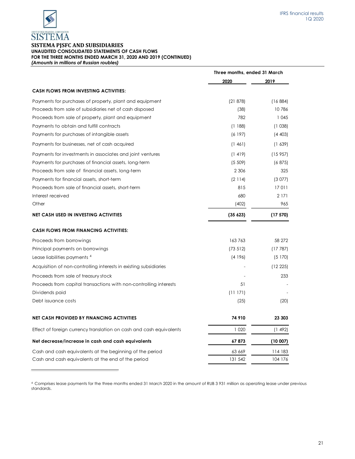

**SISTEMA PJSFC AND SUBSIDIARIES UNAUDITED CONSOLIDATED STATEMENTS OF CASH FLOWS FOR THE THREE MONTHS ENDED MARCH 31, 2020 AND 2019 (CONTINUED)** *(Amounts in millions of Russian roubles)*

|                                                                     | Three months, ended 31 March |          |
|---------------------------------------------------------------------|------------------------------|----------|
|                                                                     | 2020                         | 2019     |
| <b>CASH FLOWS FROM INVESTING ACTIVITIES:</b>                        |                              |          |
| Payments for purchases of property, plant and equipment             | (21878)                      | (16884)  |
| Proceeds from sale of subsidiaries net of cash disposed             | (38)                         | 10786    |
| Proceeds from sale of property, plant and equipment                 | 782                          | 1045     |
| Payments to obtain and fulfill contracts                            | (1188)                       | (1038)   |
| Payments for purchases of intangible assets                         | (6197)                       | (4403)   |
| Payments for businesses, net of cash acquired                       | (1461)                       | (1, 639) |
| Payments for investments in associates and joint ventures           | (1419)                       | (15957)  |
| Payments for purchases of financial assets, long-term               | (5, 509)                     | (6875)   |
| Proceeds from sale of financial assets, long-term                   | 2 3 0 6                      | 325      |
| Payments for financial assets, short-term                           | (2114)                       | (3077)   |
| Proceeds from sale of financial assets, short-term                  | 815                          | 17011    |
| Interest received                                                   | 680                          | 2 1 7 1  |
| Other                                                               | (402)                        | 965      |
| <b>NET CASH USED IN INVESTING ACTIVITIES</b>                        | (35623)                      | (17570)  |
| <b>CASH FLOWS FROM FINANCING ACTIVITIES:</b>                        |                              |          |
| Proceeds from borrowings                                            | 163763                       | 58 27 2  |
| Principal payments on borrowings                                    | (73512)                      | (17787)  |
| Lease liabilities payments <sup>4</sup>                             | (4196)                       | (5170)   |
| Acquisition of non-controlling interests in existing subsidiaries   |                              | (12 225) |
| Proceeds from sale of treasury stock                                |                              | 233      |
| Proceeds from capital transactions with non-controlling interests   | 51                           |          |
| Dividends paid                                                      | (11171)                      |          |
| Debt issuance costs                                                 | (25)                         | (20)     |
| <b>NET CASH PROVIDED BY FINANCING ACTIVITIES</b>                    | 74 910                       | 23 303   |
| Effect of foreign currency translation on cash and cash equivalents | 1 0 2 0                      | (1492)   |
| Net decrease/increase in cash and cash equivalents                  | 67873                        | (10007)  |
| Cash and cash equivalents at the beginning of the period            | 63 669                       | 114 183  |
| Cash and cash equivalents at the end of the period                  | 131 542                      | 104 176  |

<sup>4</sup> Comprises lease payments for the three months ended 31 March 2020 in the amount of RUB 3 931 million as operating lease under previous standards.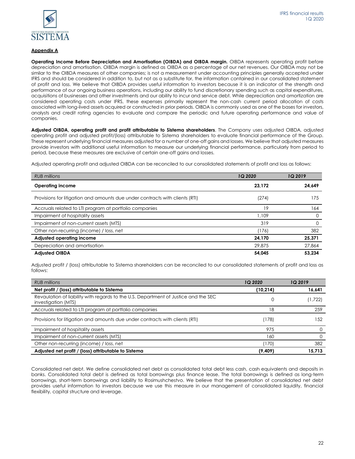

## **Appendix A**

**Operating Income Before Depreciation and Amortisation (OIBDA) and OIBDA margin.** OIBDA represents operating profit before depreciation and amortisation. OIBDA margin is defined as OIBDA as a percentage of our net revenues. Our OIBDA may not be similar to the OIBDA measures of other companies; is not a measurement under accounting principles generally accepted under IFRS and should be considered in addition to, but not as a substitute for, the information contained in our consolidated statement of profit and loss. We believe that OIBDA provides useful information to investors because it is an indicator of the strength and performance of our ongoing business operations, including our ability to fund discretionary spending such as capital expenditures, acquisitions of businesses and other investments and our ability to incur and service debt. While depreciation and amortization are considered operating costs under IFRS, these expenses primarily represent the non-cash current period allocation of costs associated with long-lived assets acquired or constructed in prior periods. OIBDA is commonly used as one of the bases for investors, analysts and credit rating agencies to evaluate and compare the periodic and future operating performance and value of companies.

**Adjusted OIBDA, operating profit and profit attributable to Sistema shareholders**. The Company uses adjusted OIBDA, adjusted operating profit and adjusted profit/(loss) attributable to Sistema shareholders to evaluate financial performance of the Group. These represent underlying financial measures adjusted for a number of one-off gains and losses. We believe that adjusted measures provide investors with additional useful information to measure our underlying financial performance, particularly from period to period, because these measures are exclusive of certain one-off gains and losses.

Adjusted operating profit and adjusted OIBDA can be reconciled to our consolidated statements of profit and loss as follows:

| <b>RUB</b> millions                                                          | 1Q 2020 | <b>1Q 2019</b> |
|------------------------------------------------------------------------------|---------|----------------|
| <b>Operating income</b>                                                      | 23.172  | 24.649         |
| Provisions for litigation and amounts due under contracts with clients (RTI) | (274)   | 175            |
| Accruals related to LTI program at portfolio companies                       | 19      | 164            |
| Impairment of hospitality assets                                             | 1,109   |                |
| Impairment of non-current assets (MTS)                                       | 319     |                |
| Other non-recurring (income) / loss, net                                     | (176)   | 382            |
| Adjusted operating income                                                    | 24.170  | 25,371         |
| Depreciation and amortisation                                                | 29.875  | 27,864         |
| <b>Adiusted OIBDA</b>                                                        | 54.045  | 53.234         |

Adjusted profit / (loss) attributable to Sistema shareholders can be reconciled to our consolidated statements of profit and loss as follows:

| <b>RUB</b> millions                                                                                        | 1Q 2020   | <b>1Q2019</b> |
|------------------------------------------------------------------------------------------------------------|-----------|---------------|
| Net profit / (loss) attributable to Sistema                                                                | (10, 214) | 16,641        |
| Revaulation of liability with regards to the U.S. Department of Justice and the SEC<br>investigation (MTS) |           | (1,722)       |
| Accruals related to LTI program at portfolio companies                                                     | 18        | 259           |
| Provisions for litigation and amounts due under contracts with clients (RTI)                               | (178)     | 152           |
| Impairment of hospitality assets                                                                           | 975       |               |
| Impairment of non-current assets (MTS)                                                                     | 160       |               |
| Other non-recurring (income) / loss, net                                                                   | (170)     | 382           |
| Adjusted net profit / (loss) attributable to Sistema                                                       | (9,409)   | 15.713        |

Consolidated net debt. We define consolidated net debt as consolidated total debt less cash, cash equivalents and deposits in banks. Consolidated total debt is defined as total borrowings plus finance lease. The total borrowings is defined as long-term borrowings, short-term borrowings and liability to Rosimushchestvo. We believe that the presentation of consolidated net debt provides useful information to investors because we use this measure in our management of consolidated liquidity, financial flexibility, capital structure and leverage.